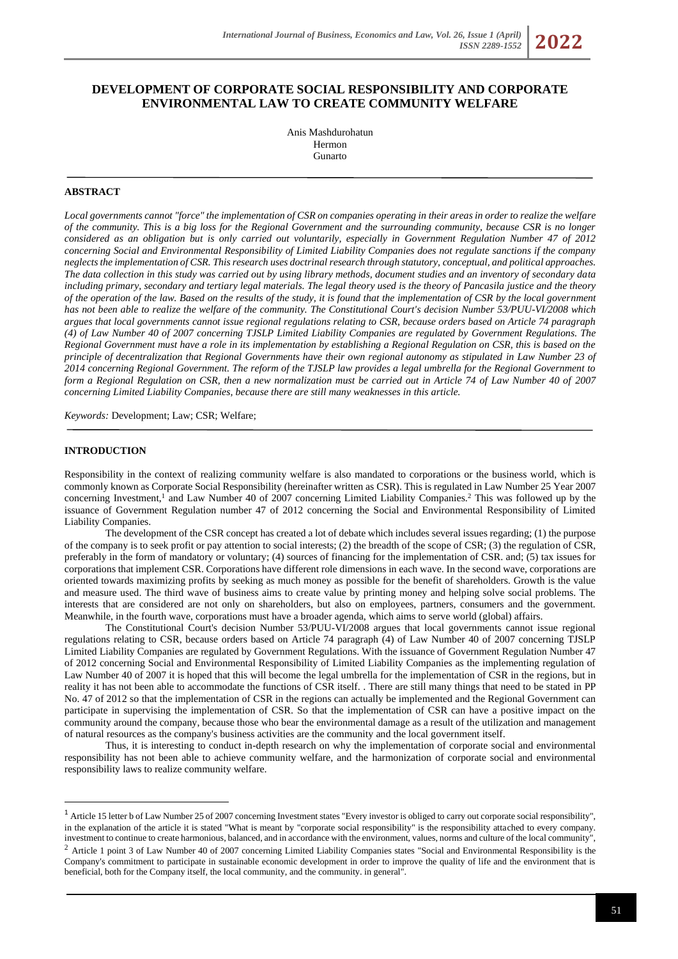# **DEVELOPMENT OF CORPORATE SOCIAL RESPONSIBILITY AND CORPORATE ENVIRONMENTAL LAW TO CREATE COMMUNITY WELFARE**

Anis Mashdurohatun Hermon Gunarto

### **ABSTRACT**

*Local governments cannot "force" the implementation of CSR on companies operating in their areas in order to realize the welfare of the community. This is a big loss for the Regional Government and the surrounding community, because CSR is no longer considered as an obligation but is only carried out voluntarily, especially in Government Regulation Number 47 of 2012 concerning Social and Environmental Responsibility of Limited Liability Companies does not regulate sanctions if the company neglects the implementation of CSR. This research uses doctrinal research through statutory, conceptual, and political approaches. The data collection in this study was carried out by using library methods, document studies and an inventory of secondary data including primary, secondary and tertiary legal materials. The legal theory used is the theory of Pancasila justice and the theory of the operation of the law. Based on the results of the study, it is found that the implementation of CSR by the local government has not been able to realize the welfare of the community. The Constitutional Court's decision Number 53/PUU-VI/2008 which argues that local governments cannot issue regional regulations relating to CSR, because orders based on Article 74 paragraph (4) of Law Number 40 of 2007 concerning TJSLP Limited Liability Companies are regulated by Government Regulations. The Regional Government must have a role in its implementation by establishing a Regional Regulation on CSR, this is based on the principle of decentralization that Regional Governments have their own regional autonomy as stipulated in Law Number 23 of 2014 concerning Regional Government. The reform of the TJSLP law provides a legal umbrella for the Regional Government to form a Regional Regulation on CSR, then a new normalization must be carried out in Article 74 of Law Number 40 of 2007 concerning Limited Liability Companies, because there are still many weaknesses in this article.*

*Keywords:* Development; Law; CSR; Welfare;

#### **INTRODUCTION**

Responsibility in the context of realizing community welfare is also mandated to corporations or the business world, which is commonly known as Corporate Social Responsibility (hereinafter written as CSR). This is regulated in Law Number 25 Year 2007 concerning Investment,<sup>1</sup> and Law Number 40 of 2007 concerning Limited Liability Companies.<sup>2</sup> This was followed up by the issuance of Government Regulation number 47 of 2012 concerning the Social and Environmental Responsibility of Limited Liability Companies.

The development of the CSR concept has created a lot of debate which includes several issues regarding; (1) the purpose of the company is to seek profit or pay attention to social interests; (2) the breadth of the scope of CSR; (3) the regulation of CSR, preferably in the form of mandatory or voluntary; (4) sources of financing for the implementation of CSR. and; (5) tax issues for corporations that implement CSR. Corporations have different role dimensions in each wave. In the second wave, corporations are oriented towards maximizing profits by seeking as much money as possible for the benefit of shareholders. Growth is the value and measure used. The third wave of business aims to create value by printing money and helping solve social problems. The interests that are considered are not only on shareholders, but also on employees, partners, consumers and the government. Meanwhile, in the fourth wave, corporations must have a broader agenda, which aims to serve world (global) affairs.

The Constitutional Court's decision Number 53/PUU-VI/2008 argues that local governments cannot issue regional regulations relating to CSR, because orders based on Article 74 paragraph (4) of Law Number 40 of 2007 concerning TJSLP Limited Liability Companies are regulated by Government Regulations. With the issuance of Government Regulation Number 47 of 2012 concerning Social and Environmental Responsibility of Limited Liability Companies as the implementing regulation of Law Number 40 of 2007 it is hoped that this will become the legal umbrella for the implementation of CSR in the regions, but in reality it has not been able to accommodate the functions of CSR itself. . There are still many things that need to be stated in PP No. 47 of 2012 so that the implementation of CSR in the regions can actually be implemented and the Regional Government can participate in supervising the implementation of CSR. So that the implementation of CSR can have a positive impact on the community around the company, because those who bear the environmental damage as a result of the utilization and management of natural resources as the company's business activities are the community and the local government itself.

Thus, it is interesting to conduct in-depth research on why the implementation of corporate social and environmental responsibility has not been able to achieve community welfare, and the harmonization of corporate social and environmental responsibility laws to realize community welfare.

<sup>&</sup>lt;sup>1</sup> Article 15 letter b of Law Number 25 of 2007 concerning Investment states "Every investor is obliged to carry out corporate social responsibility", in the explanation of the article it is stated "What is meant by "corporate social responsibility" is the responsibility attached to every company. investment to continue to create harmonious, balanced, and in accordance with the environment, values, norms and culture of the local community", <sup>2</sup> Article 1 point 3 of Law Number 40 of 2007 concerning Limited Liability Companies states "Social and Environmental Responsibility is the

Company's commitment to participate in sustainable economic development in order to improve the quality of life and the environment that is beneficial, both for the Company itself, the local community, and the community. in general".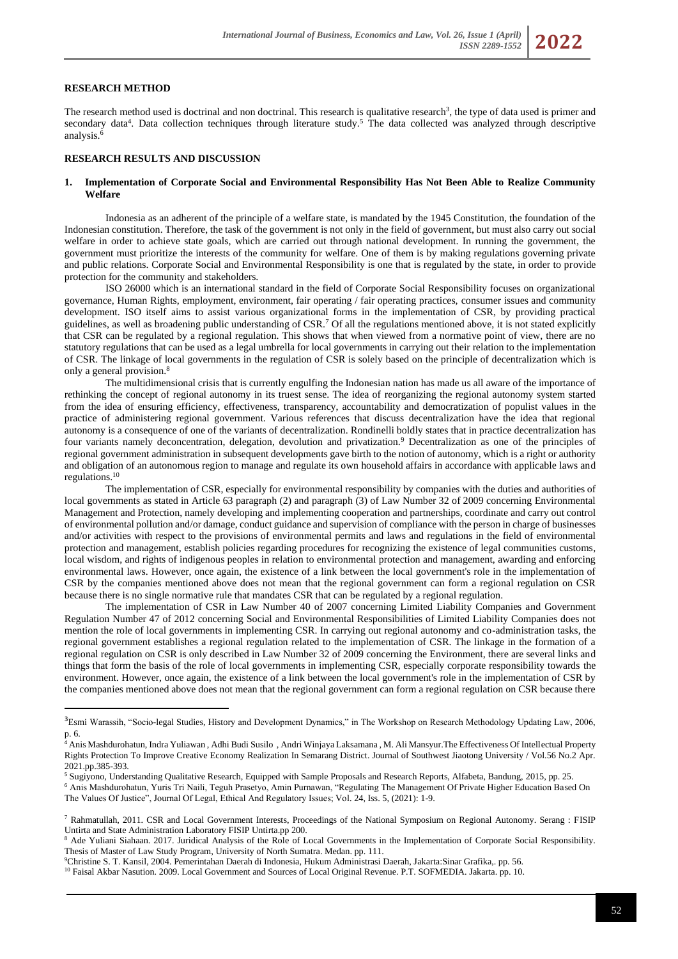#### **RESEARCH METHOD**

The research method used is doctrinal and non doctrinal. This research is qualitative research<sup>3</sup>, the type of data used is primer and secondary data<sup>4</sup>. Data collection techniques through literature study.<sup>5</sup> The data collected was analyzed through descriptive analysis. $\frac{e}{c}$ 

#### **RESEARCH RESULTS AND DISCUSSION**

### **1. Implementation of Corporate Social and Environmental Responsibility Has Not Been Able to Realize Community Welfare**

Indonesia as an adherent of the principle of a welfare state, is mandated by the 1945 Constitution, the foundation of the Indonesian constitution. Therefore, the task of the government is not only in the field of government, but must also carry out social welfare in order to achieve state goals, which are carried out through national development. In running the government, the government must prioritize the interests of the community for welfare. One of them is by making regulations governing private and public relations. Corporate Social and Environmental Responsibility is one that is regulated by the state, in order to provide protection for the community and stakeholders.

ISO 26000 which is an international standard in the field of Corporate Social Responsibility focuses on organizational governance, Human Rights, employment, environment, fair operating / fair operating practices, consumer issues and community development. ISO itself aims to assist various organizational forms in the implementation of CSR, by providing practical guidelines, as well as broadening public understanding of CSR.<sup>7</sup> Of all the regulations mentioned above, it is not stated explicitly that CSR can be regulated by a regional regulation. This shows that when viewed from a normative point of view, there are no statutory regulations that can be used as a legal umbrella for local governments in carrying out their relation to the implementation of CSR. The linkage of local governments in the regulation of CSR is solely based on the principle of decentralization which is only a general provision.<sup>8</sup>

The multidimensional crisis that is currently engulfing the Indonesian nation has made us all aware of the importance of rethinking the concept of regional autonomy in its truest sense. The idea of reorganizing the regional autonomy system started from the idea of ensuring efficiency, effectiveness, transparency, accountability and democratization of populist values in the practice of administering regional government. Various references that discuss decentralization have the idea that regional autonomy is a consequence of one of the variants of decentralization. Rondinelli boldly states that in practice decentralization has four variants namely deconcentration, delegation, devolution and privatization.<sup>9</sup> Decentralization as one of the principles of regional government administration in subsequent developments gave birth to the notion of autonomy, which is a right or authority and obligation of an autonomous region to manage and regulate its own household affairs in accordance with applicable laws and regulations.<sup>10</sup>

The implementation of CSR, especially for environmental responsibility by companies with the duties and authorities of local governments as stated in Article 63 paragraph (2) and paragraph (3) of Law Number 32 of 2009 concerning Environmental Management and Protection, namely developing and implementing cooperation and partnerships, coordinate and carry out control of environmental pollution and/or damage, conduct guidance and supervision of compliance with the person in charge of businesses and/or activities with respect to the provisions of environmental permits and laws and regulations in the field of environmental protection and management, establish policies regarding procedures for recognizing the existence of legal communities customs, local wisdom, and rights of indigenous peoples in relation to environmental protection and management, awarding and enforcing environmental laws. However, once again, the existence of a link between the local government's role in the implementation of CSR by the companies mentioned above does not mean that the regional government can form a regional regulation on CSR because there is no single normative rule that mandates CSR that can be regulated by a regional regulation.

The implementation of CSR in Law Number 40 of 2007 concerning Limited Liability Companies and Government Regulation Number 47 of 2012 concerning Social and Environmental Responsibilities of Limited Liability Companies does not mention the role of local governments in implementing CSR. In carrying out regional autonomy and co-administration tasks, the regional government establishes a regional regulation related to the implementation of CSR. The linkage in the formation of a regional regulation on CSR is only described in Law Number 32 of 2009 concerning the Environment, there are several links and things that form the basis of the role of local governments in implementing CSR, especially corporate responsibility towards the environment. However, once again, the existence of a link between the local government's role in the implementation of CSR by the companies mentioned above does not mean that the regional government can form a regional regulation on CSR because there

<sup>5</sup> Sugiyono, Understanding Qualitative Research, Equipped with Sample Proposals and Research Reports, Alfabeta, Bandung, 2015, pp. 25.

<sup>9</sup>Christine S. T. Kansil, 2004. Pemerintahan Daerah di Indonesia, Hukum Administrasi Daerah, Jakarta:Sinar Grafika,. pp. 56.

<sup>&</sup>lt;sup>3</sup>Esmi Warassih, "Socio-legal Studies, History and Development Dynamics," in The Workshop on Research Methodology Updating Law, 2006, p. 6.

<sup>4</sup> Anis Mashdurohatun, Indra Yuliawan , Adhi Budi Susilo , Andri Winjaya Laksamana , M. Ali Mansyur.The Effectiveness Of Intellectual Property Rights Protection To Improve Creative Economy Realization In Semarang District. Journal of Southwest Jiaotong University / Vol.56 No.2 Apr. 2021.pp.385-393.

<sup>6</sup> Anis Mashdurohatun, Yuris Tri Naili, Teguh Prasetyo, Amin Purnawan, "Regulating The Management Of Private Higher Education Based On The Values Of Justice", Journal Of Legal, Ethical And Regulatory Issues; Vol. 24, Iss. 5, (2021): 1-9.

<sup>7</sup> Rahmatullah, 2011. CSR and Local Government Interests, Proceedings of the National Symposium on Regional Autonomy. Serang : FISIP Untirta and State Administration Laboratory FISIP Untirta.pp 200.

<sup>8</sup> Ade Yuliani Siahaan. 2017. Juridical Analysis of the Role of Local Governments in the Implementation of Corporate Social Responsibility. Thesis of Master of Law Study Program, University of North Sumatra. Medan. pp. 111.

<sup>&</sup>lt;sup>10</sup> Faisal Akbar Nasution. 2009. Local Government and Sources of Local Original Revenue. P.T. SOFMEDIA. Jakarta. pp. 10.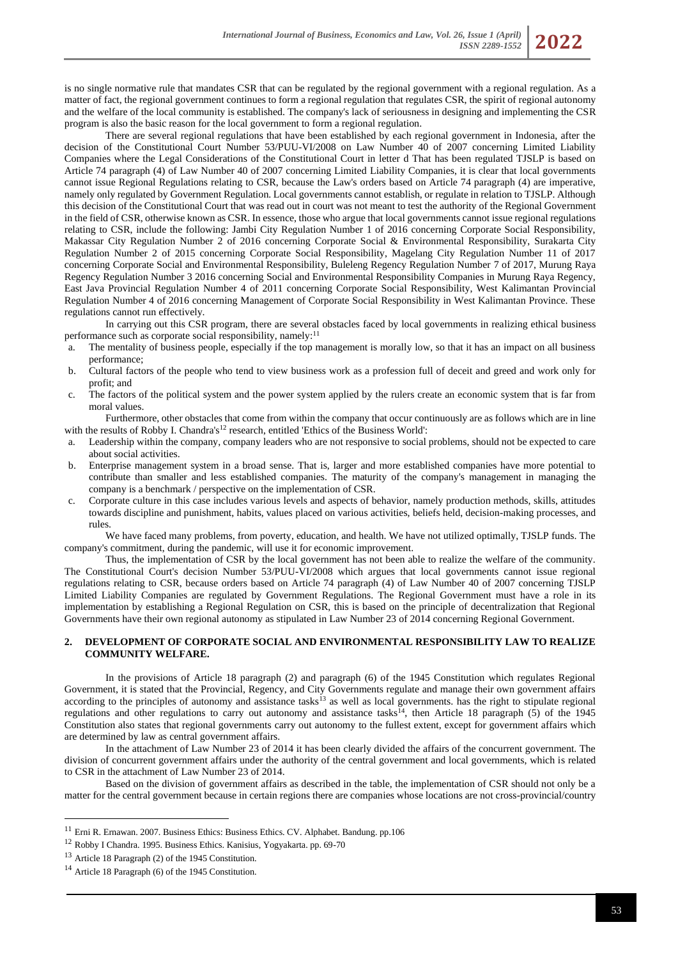is no single normative rule that mandates CSR that can be regulated by the regional government with a regional regulation. As a matter of fact, the regional government continues to form a regional regulation that regulates CSR, the spirit of regional autonomy and the welfare of the local community is established. The company's lack of seriousness in designing and implementing the CSR program is also the basic reason for the local government to form a regional regulation.

There are several regional regulations that have been established by each regional government in Indonesia, after the decision of the Constitutional Court Number 53/PUU-VI/2008 on Law Number 40 of 2007 concerning Limited Liability Companies where the Legal Considerations of the Constitutional Court in letter d That has been regulated TJSLP is based on Article 74 paragraph (4) of Law Number 40 of 2007 concerning Limited Liability Companies, it is clear that local governments cannot issue Regional Regulations relating to CSR, because the Law's orders based on Article 74 paragraph (4) are imperative, namely only regulated by Government Regulation. Local governments cannot establish, or regulate in relation to TJSLP. Although this decision of the Constitutional Court that was read out in court was not meant to test the authority of the Regional Government in the field of CSR, otherwise known as CSR. In essence, those who argue that local governments cannot issue regional regulations relating to CSR, include the following: Jambi City Regulation Number 1 of 2016 concerning Corporate Social Responsibility, Makassar City Regulation Number 2 of 2016 concerning Corporate Social & Environmental Responsibility, Surakarta City Regulation Number 2 of 2015 concerning Corporate Social Responsibility, Magelang City Regulation Number 11 of 2017 concerning Corporate Social and Environmental Responsibility, Buleleng Regency Regulation Number 7 of 2017, Murung Raya Regency Regulation Number 3 2016 concerning Social and Environmental Responsibility Companies in Murung Raya Regency, East Java Provincial Regulation Number 4 of 2011 concerning Corporate Social Responsibility, West Kalimantan Provincial Regulation Number 4 of 2016 concerning Management of Corporate Social Responsibility in West Kalimantan Province. These regulations cannot run effectively.

In carrying out this CSR program, there are several obstacles faced by local governments in realizing ethical business performance such as corporate social responsibility, namely:<sup>11</sup>

- a. The mentality of business people, especially if the top management is morally low, so that it has an impact on all business performance;
- b. Cultural factors of the people who tend to view business work as a profession full of deceit and greed and work only for profit; and
- c. The factors of the political system and the power system applied by the rulers create an economic system that is far from moral values.

Furthermore, other obstacles that come from within the company that occur continuously are as follows which are in line with the results of Robby I. Chandra's<sup>12</sup> research, entitled 'Ethics of the Business World':

- a. Leadership within the company, company leaders who are not responsive to social problems, should not be expected to care about social activities.
- b. Enterprise management system in a broad sense. That is, larger and more established companies have more potential to contribute than smaller and less established companies. The maturity of the company's management in managing the company is a benchmark / perspective on the implementation of CSR.
- c. Corporate culture in this case includes various levels and aspects of behavior, namely production methods, skills, attitudes towards discipline and punishment, habits, values placed on various activities, beliefs held, decision-making processes, and rules.

We have faced many problems, from poverty, education, and health. We have not utilized optimally, TJSLP funds. The company's commitment, during the pandemic, will use it for economic improvement.

Thus, the implementation of CSR by the local government has not been able to realize the welfare of the community. The Constitutional Court's decision Number 53/PUU-VI/2008 which argues that local governments cannot issue regional regulations relating to CSR, because orders based on Article 74 paragraph (4) of Law Number 40 of 2007 concerning TJSLP Limited Liability Companies are regulated by Government Regulations. The Regional Government must have a role in its implementation by establishing a Regional Regulation on CSR, this is based on the principle of decentralization that Regional Governments have their own regional autonomy as stipulated in Law Number 23 of 2014 concerning Regional Government.

#### **2. DEVELOPMENT OF CORPORATE SOCIAL AND ENVIRONMENTAL RESPONSIBILITY LAW TO REALIZE COMMUNITY WELFARE.**

In the provisions of Article 18 paragraph (2) and paragraph (6) of the 1945 Constitution which regulates Regional Government, it is stated that the Provincial, Regency, and City Governments regulate and manage their own government affairs according to the principles of autonomy and assistance tasks<sup>13</sup> as well as local governments. has the right to stipulate regional regulations and other regulations to carry out autonomy and assistance tasks<sup>14</sup>, then Article 18 paragraph (5) of the 1945 Constitution also states that regional governments carry out autonomy to the fullest extent, except for government affairs which are determined by law as central government affairs.

In the attachment of Law Number 23 of 2014 it has been clearly divided the affairs of the concurrent government. The division of concurrent government affairs under the authority of the central government and local governments, which is related to CSR in the attachment of Law Number 23 of 2014.

Based on the division of government affairs as described in the table, the implementation of CSR should not only be a matter for the central government because in certain regions there are companies whose locations are not cross-provincial/country

<sup>11</sup> Erni R. Ernawan. 2007. Business Ethics: Business Ethics. CV. Alphabet. Bandung. pp.106

<sup>12</sup> Robby I Chandra. 1995. Business Ethics. Kanisius, Yogyakarta. pp. 69-70

<sup>13</sup> Article 18 Paragraph (2) of the 1945 Constitution.

<sup>14</sup> Article 18 Paragraph (6) of the 1945 Constitution.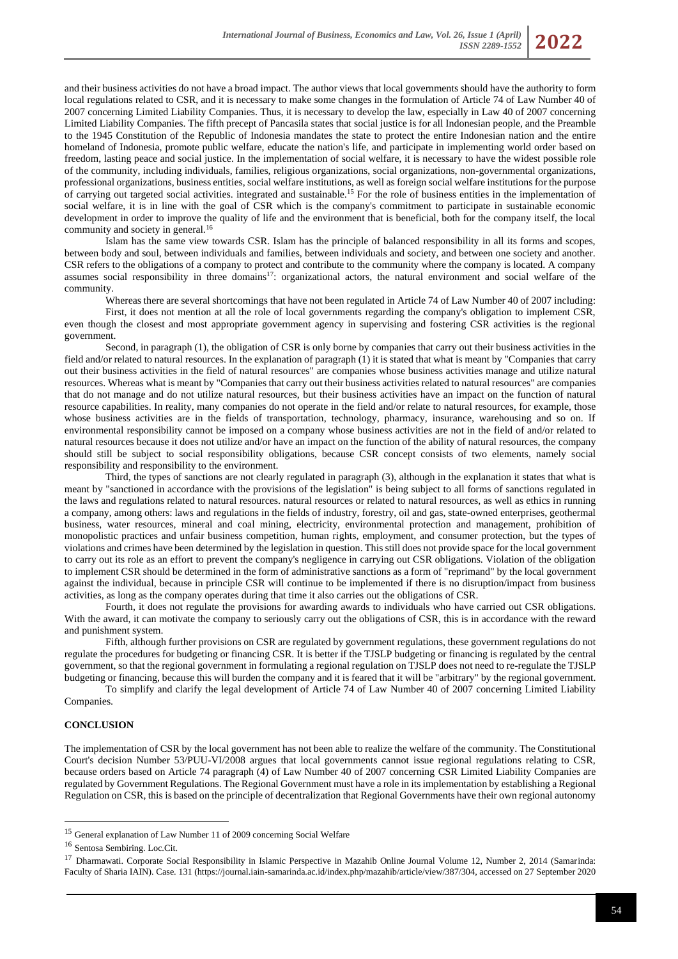and their business activities do not have a broad impact. The author views that local governments should have the authority to form local regulations related to CSR, and it is necessary to make some changes in the formulation of Article 74 of Law Number 40 of 2007 concerning Limited Liability Companies. Thus, it is necessary to develop the law, especially in Law 40 of 2007 concerning Limited Liability Companies. The fifth precept of Pancasila states that social justice is for all Indonesian people, and the Preamble to the 1945 Constitution of the Republic of Indonesia mandates the state to protect the entire Indonesian nation and the entire homeland of Indonesia, promote public welfare, educate the nation's life, and participate in implementing world order based on freedom, lasting peace and social justice. In the implementation of social welfare, it is necessary to have the widest possible role of the community, including individuals, families, religious organizations, social organizations, non-governmental organizations, professional organizations, business entities, social welfare institutions, as well as foreign social welfare institutions for the purpose of carrying out targeted social activities. integrated and sustainable.<sup>15</sup> For the role of business entities in the implementation of social welfare, it is in line with the goal of CSR which is the company's commitment to participate in sustainable economic development in order to improve the quality of life and the environment that is beneficial, both for the company itself, the local community and society in general.<sup>16</sup>

Islam has the same view towards CSR. Islam has the principle of balanced responsibility in all its forms and scopes, between body and soul, between individuals and families, between individuals and society, and between one society and another. CSR refers to the obligations of a company to protect and contribute to the community where the company is located. A company assumes social responsibility in three domains<sup>17</sup>: organizational actors, the natural environment and social welfare of the community.

Whereas there are several shortcomings that have not been regulated in Article 74 of Law Number 40 of 2007 including: First, it does not mention at all the role of local governments regarding the company's obligation to implement CSR, even though the closest and most appropriate government agency in supervising and fostering CSR activities is the regional government.

Second, in paragraph (1), the obligation of CSR is only borne by companies that carry out their business activities in the field and/or related to natural resources. In the explanation of paragraph (1) it is stated that what is meant by "Companies that carry out their business activities in the field of natural resources" are companies whose business activities manage and utilize natural resources. Whereas what is meant by "Companies that carry out their business activities related to natural resources" are companies that do not manage and do not utilize natural resources, but their business activities have an impact on the function of natural resource capabilities. In reality, many companies do not operate in the field and/or relate to natural resources, for example, those whose business activities are in the fields of transportation, technology, pharmacy, insurance, warehousing and so on. If environmental responsibility cannot be imposed on a company whose business activities are not in the field of and/or related to natural resources because it does not utilize and/or have an impact on the function of the ability of natural resources, the company should still be subject to social responsibility obligations, because CSR concept consists of two elements, namely social responsibility and responsibility to the environment.

Third, the types of sanctions are not clearly regulated in paragraph (3), although in the explanation it states that what is meant by "sanctioned in accordance with the provisions of the legislation" is being subject to all forms of sanctions regulated in the laws and regulations related to natural resources. natural resources or related to natural resources, as well as ethics in running a company, among others: laws and regulations in the fields of industry, forestry, oil and gas, state-owned enterprises, geothermal business, water resources, mineral and coal mining, electricity, environmental protection and management, prohibition of monopolistic practices and unfair business competition, human rights, employment, and consumer protection, but the types of violations and crimes have been determined by the legislation in question. This still does not provide space for the local government to carry out its role as an effort to prevent the company's negligence in carrying out CSR obligations. Violation of the obligation to implement CSR should be determined in the form of administrative sanctions as a form of "reprimand" by the local government against the individual, because in principle CSR will continue to be implemented if there is no disruption/impact from business activities, as long as the company operates during that time it also carries out the obligations of CSR.

Fourth, it does not regulate the provisions for awarding awards to individuals who have carried out CSR obligations. With the award, it can motivate the company to seriously carry out the obligations of CSR, this is in accordance with the reward and punishment system.

Fifth, although further provisions on CSR are regulated by government regulations, these government regulations do not regulate the procedures for budgeting or financing CSR. It is better if the TJSLP budgeting or financing is regulated by the central government, so that the regional government in formulating a regional regulation on TJSLP does not need to re-regulate the TJSLP budgeting or financing, because this will burden the company and it is feared that it will be "arbitrary" by the regional government.

To simplify and clarify the legal development of Article 74 of Law Number 40 of 2007 concerning Limited Liability Companies.

#### **CONCLUSION**

The implementation of CSR by the local government has not been able to realize the welfare of the community. The Constitutional Court's decision Number 53/PUU-VI/2008 argues that local governments cannot issue regional regulations relating to CSR, because orders based on Article 74 paragraph (4) of Law Number 40 of 2007 concerning CSR Limited Liability Companies are regulated by Government Regulations. The Regional Government must have a role in its implementation by establishing a Regional Regulation on CSR, this is based on the principle of decentralization that Regional Governments have their own regional autonomy

<sup>15</sup> General explanation of Law Number 11 of 2009 concerning Social Welfare

<sup>16</sup> Sentosa Sembiring. Loc.Cit.

<sup>&</sup>lt;sup>17</sup> Dharmawati. Corporate Social Responsibility in Islamic Perspective in Mazahib Online Journal Volume 12, Number 2, 2014 (Samarinda: Faculty of Sharia IAIN). Case. 131 (https://journal.iain-samarinda.ac.id/index.php/mazahib/article/view/387/304, accessed on 27 September 2020